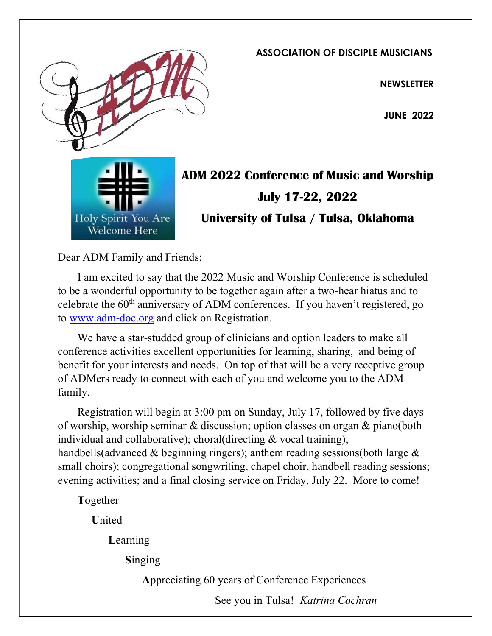

ASSOCIATION OF DISCIPLE MUSICIANS

**NEWSLETTER** 

JUNE 2022



ADM 2022 Conference of Music and Worship July 17-22, 2022 University of Tulsa / Tulsa, Oklahoma

Dear ADM Family and Friends:

 I am excited to say that the 2022 Music and Worship Conference is scheduled to be a wonderful opportunity to be together again after a two-hear hiatus and to celebrate the  $60<sup>th</sup>$  anniversary of ADM conferences. If you haven't registered, go to www.adm-doc.org and click on Registration.

 We have a star-studded group of clinicians and option leaders to make all conference activities excellent opportunities for learning, sharing, and being of benefit for your interests and needs. On top of that will be a very receptive group of ADMers ready to connect with each of you and welcome you to the ADM family.

 Registration will begin at 3:00 pm on Sunday, July 17, followed by five days of worship, worship seminar & discussion; option classes on organ & piano(both individual and collaborative); choral(directing & vocal training); handbells(advanced & beginning ringers); anthem reading sessions(both large & small choirs); congregational songwriting, chapel choir, handbell reading sessions; evening activities; and a final closing service on Friday, July 22. More to come!

Together

United

Learning

Singing

Appreciating 60 years of Conference Experiences

See you in Tulsa! Katrina Cochran